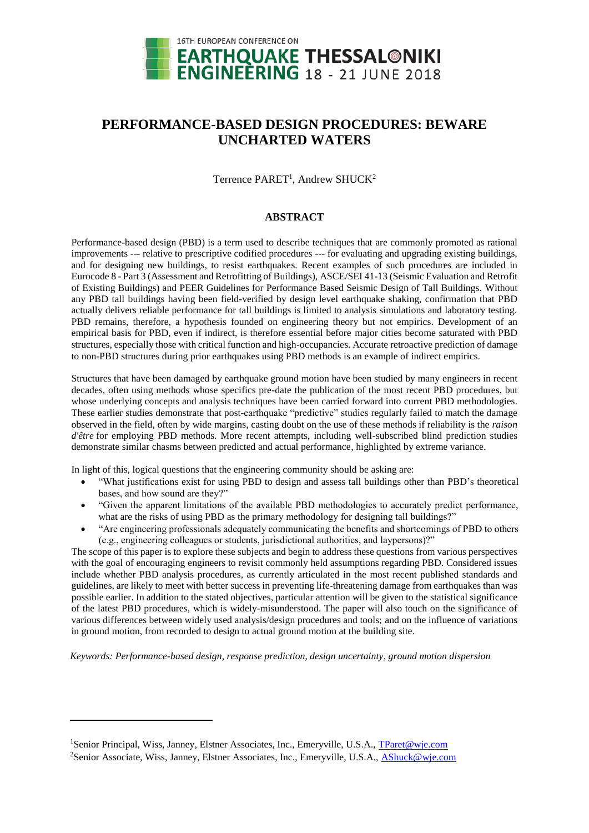

# **PERFORMANCE-BASED DESIGN PROCEDURES: BEWARE UNCHARTED WATERS**

Terrence PARET<sup>1</sup>, Andrew SHUCK<sup>2</sup>

#### **ABSTRACT**

Performance-based design (PBD) is a term used to describe techniques that are commonly promoted as rational improvements --- relative to prescriptive codified procedures --- for evaluating and upgrading existing buildings, and for designing new buildings, to resist earthquakes. Recent examples of such procedures are included in Eurocode 8 - Part 3 (Assessment and Retrofitting of Buildings), ASCE/SEI 41-13 (Seismic Evaluation and Retrofit of Existing Buildings) and PEER Guidelines for Performance Based Seismic Design of Tall Buildings. Without any PBD tall buildings having been field-verified by design level earthquake shaking, confirmation that PBD actually delivers reliable performance for tall buildings is limited to analysis simulations and laboratory testing. PBD remains, therefore, a hypothesis founded on engineering theory but not empirics. Development of an empirical basis for PBD, even if indirect, is therefore essential before major cities become saturated with PBD structures, especially those with critical function and high-occupancies. Accurate retroactive prediction of damage to non-PBD structures during prior earthquakes using PBD methods is an example of indirect empirics.

Structures that have been damaged by earthquake ground motion have been studied by many engineers in recent decades, often using methods whose specifics pre-date the publication of the most recent PBD procedures, but whose underlying concepts and analysis techniques have been carried forward into current PBD methodologies. These earlier studies demonstrate that post-earthquake "predictive" studies regularly failed to match the damage observed in the field, often by wide margins, casting doubt on the use of these methods if reliability is the *raison d'être* for employing PBD methods. More recent attempts, including well-subscribed blind prediction studies demonstrate similar chasms between predicted and actual performance, highlighted by extreme variance.

In light of this, logical questions that the engineering community should be asking are:

- "What justifications exist for using PBD to design and assess tall buildings other than PBD's theoretical bases, and how sound are they?"
- "Given the apparent limitations of the available PBD methodologies to accurately predict performance, what are the risks of using PBD as the primary methodology for designing tall buildings?"
- "Are engineering professionals adequately communicating the benefits and shortcomings of PBD to others (e.g., engineering colleagues or students, jurisdictional authorities, and laypersons)?"

The scope of this paper is to explore these subjects and begin to address these questions from various perspectives with the goal of encouraging engineers to revisit commonly held assumptions regarding PBD. Considered issues include whether PBD analysis procedures, as currently articulated in the most recent published standards and guidelines, are likely to meet with better success in preventing life-threatening damage from earthquakes than was possible earlier. In addition to the stated objectives, particular attention will be given to the statistical significance of the latest PBD procedures, which is widely-misunderstood. The paper will also touch on the significance of various differences between widely used analysis/design procedures and tools; and on the influence of variations in ground motion, from recorded to design to actual ground motion at the building site.

*Keywords: Performance-based design, response prediction, design uncertainty, ground motion dispersion*

l

<sup>1</sup>Senior Principal, Wiss, Janney, Elstner Associates, Inc., Emeryville, U.S.A., [TParet@wje.com](file://///wjesf.wje.com/projects/Temp/For%20Andrew%20Shuck/Papers/16ECEE%20-%20PBD/TParet@wje.com)

<sup>&</sup>lt;sup>2</sup>Senior Associate, Wiss, Janney, Elstner Associates, Inc., Emeryville, U.S.A., [AShuck@wje.com](file://///wjesf.wje.com/projects/Temp/For%20Andrew%20Shuck/Papers/16ECEE%20-%20PBD/AShuck@wje.com)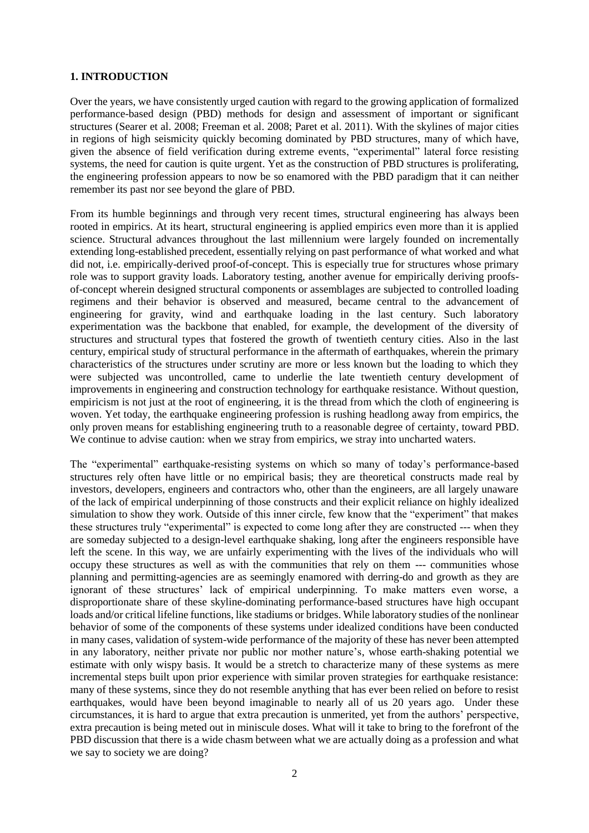# **1. INTRODUCTION**

Over the years, we have consistently urged caution with regard to the growing application of formalized performance-based design (PBD) methods for design and assessment of important or significant structures (Searer et al. 2008; Freeman et al. 2008; Paret et al. 2011). With the skylines of major cities in regions of high seismicity quickly becoming dominated by PBD structures, many of which have, given the absence of field verification during extreme events, "experimental" lateral force resisting systems, the need for caution is quite urgent. Yet as the construction of PBD structures is proliferating. the engineering profession appears to now be so enamored with the PBD paradigm that it can neither remember its past nor see beyond the glare of PBD.

From its humble beginnings and through very recent times, structural engineering has always been rooted in empirics. At its heart, structural engineering is applied empirics even more than it is applied science. Structural advances throughout the last millennium were largely founded on incrementally extending long-established precedent, essentially relying on past performance of what worked and what did not, i.e. empirically-derived proof-of-concept. This is especially true for structures whose primary role was to support gravity loads. Laboratory testing, another avenue for empirically deriving proofsof-concept wherein designed structural components or assemblages are subjected to controlled loading regimens and their behavior is observed and measured, became central to the advancement of engineering for gravity, wind and earthquake loading in the last century. Such laboratory experimentation was the backbone that enabled, for example, the development of the diversity of structures and structural types that fostered the growth of twentieth century cities. Also in the last century, empirical study of structural performance in the aftermath of earthquakes, wherein the primary characteristics of the structures under scrutiny are more or less known but the loading to which they were subjected was uncontrolled, came to underlie the late twentieth century development of improvements in engineering and construction technology for earthquake resistance. Without question, empiricism is not just at the root of engineering, it is the thread from which the cloth of engineering is woven. Yet today, the earthquake engineering profession is rushing headlong away from empirics, the only proven means for establishing engineering truth to a reasonable degree of certainty, toward PBD. We continue to advise caution: when we stray from empirics, we stray into uncharted waters.

The "experimental" earthquake-resisting systems on which so many of today's performance-based structures rely often have little or no empirical basis; they are theoretical constructs made real by investors, developers, engineers and contractors who, other than the engineers, are all largely unaware of the lack of empirical underpinning of those constructs and their explicit reliance on highly idealized simulation to show they work. Outside of this inner circle, few know that the "experiment" that makes these structures truly "experimental" is expected to come long after they are constructed --- when they are someday subjected to a design-level earthquake shaking, long after the engineers responsible have left the scene. In this way, we are unfairly experimenting with the lives of the individuals who will occupy these structures as well as with the communities that rely on them --- communities whose planning and permitting-agencies are as seemingly enamored with derring-do and growth as they are ignorant of these structures' lack of empirical underpinning. To make matters even worse, a disproportionate share of these skyline-dominating performance-based structures have high occupant loads and/or critical lifeline functions, like stadiums or bridges. While laboratory studies of the nonlinear behavior of some of the components of these systems under idealized conditions have been conducted in many cases, validation of system-wide performance of the majority of these has never been attempted in any laboratory, neither private nor public nor mother nature's, whose earth-shaking potential we estimate with only wispy basis. It would be a stretch to characterize many of these systems as mere incremental steps built upon prior experience with similar proven strategies for earthquake resistance: many of these systems, since they do not resemble anything that has ever been relied on before to resist earthquakes, would have been beyond imaginable to nearly all of us 20 years ago. Under these circumstances, it is hard to argue that extra precaution is unmerited, yet from the authors' perspective, extra precaution is being meted out in miniscule doses. What will it take to bring to the forefront of the PBD discussion that there is a wide chasm between what we are actually doing as a profession and what we say to society we are doing?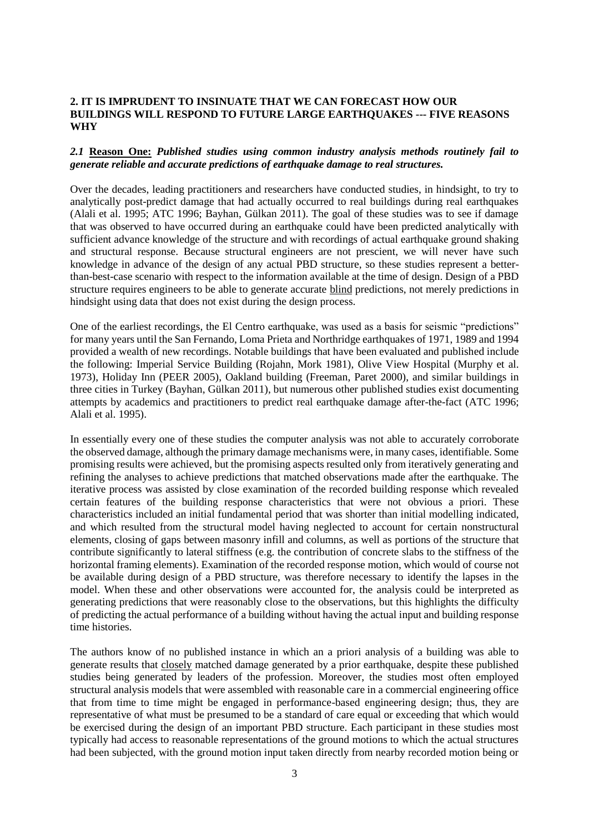# **2. IT IS IMPRUDENT TO INSINUATE THAT WE CAN FORECAST HOW OUR BUILDINGS WILL RESPOND TO FUTURE LARGE EARTHQUAKES --- FIVE REASONS WHY**

# *2.1* **Reason One:** *Published studies using common industry analysis methods routinely fail to generate reliable and accurate predictions of earthquake damage to real structures.*

Over the decades, leading practitioners and researchers have conducted studies, in hindsight, to try to analytically post-predict damage that had actually occurred to real buildings during real earthquakes (Alali et al. 1995; ATC 1996; Bayhan, Gülkan 2011). The goal of these studies was to see if damage that was observed to have occurred during an earthquake could have been predicted analytically with sufficient advance knowledge of the structure and with recordings of actual earthquake ground shaking and structural response. Because structural engineers are not prescient, we will never have such knowledge in advance of the design of any actual PBD structure, so these studies represent a betterthan-best-case scenario with respect to the information available at the time of design. Design of a PBD structure requires engineers to be able to generate accurate blind predictions, not merely predictions in hindsight using data that does not exist during the design process.

One of the earliest recordings, the El Centro earthquake, was used as a basis for seismic "predictions" for many years until the San Fernando, Loma Prieta and Northridge earthquakes of 1971, 1989 and 1994 provided a wealth of new recordings. Notable buildings that have been evaluated and published include the following: Imperial Service Building (Rojahn, Mork 1981), Olive View Hospital (Murphy et al. 1973), Holiday Inn (PEER 2005), Oakland building (Freeman, Paret 2000), and similar buildings in three cities in Turkey (Bayhan, Gülkan 2011), but numerous other published studies exist documenting attempts by academics and practitioners to predict real earthquake damage after-the-fact (ATC 1996; Alali et al. 1995).

In essentially every one of these studies the computer analysis was not able to accurately corroborate the observed damage, although the primary damage mechanisms were, in many cases, identifiable. Some promising results were achieved, but the promising aspects resulted only from iteratively generating and refining the analyses to achieve predictions that matched observations made after the earthquake. The iterative process was assisted by close examination of the recorded building response which revealed certain features of the building response characteristics that were not obvious a priori. These characteristics included an initial fundamental period that was shorter than initial modelling indicated, and which resulted from the structural model having neglected to account for certain nonstructural elements, closing of gaps between masonry infill and columns, as well as portions of the structure that contribute significantly to lateral stiffness (e.g. the contribution of concrete slabs to the stiffness of the horizontal framing elements). Examination of the recorded response motion, which would of course not be available during design of a PBD structure, was therefore necessary to identify the lapses in the model. When these and other observations were accounted for, the analysis could be interpreted as generating predictions that were reasonably close to the observations, but this highlights the difficulty of predicting the actual performance of a building without having the actual input and building response time histories.

The authors know of no published instance in which an a priori analysis of a building was able to generate results that closely matched damage generated by a prior earthquake, despite these published studies being generated by leaders of the profession. Moreover, the studies most often employed structural analysis models that were assembled with reasonable care in a commercial engineering office that from time to time might be engaged in performance-based engineering design; thus, they are representative of what must be presumed to be a standard of care equal or exceeding that which would be exercised during the design of an important PBD structure. Each participant in these studies most typically had access to reasonable representations of the ground motions to which the actual structures had been subjected, with the ground motion input taken directly from nearby recorded motion being or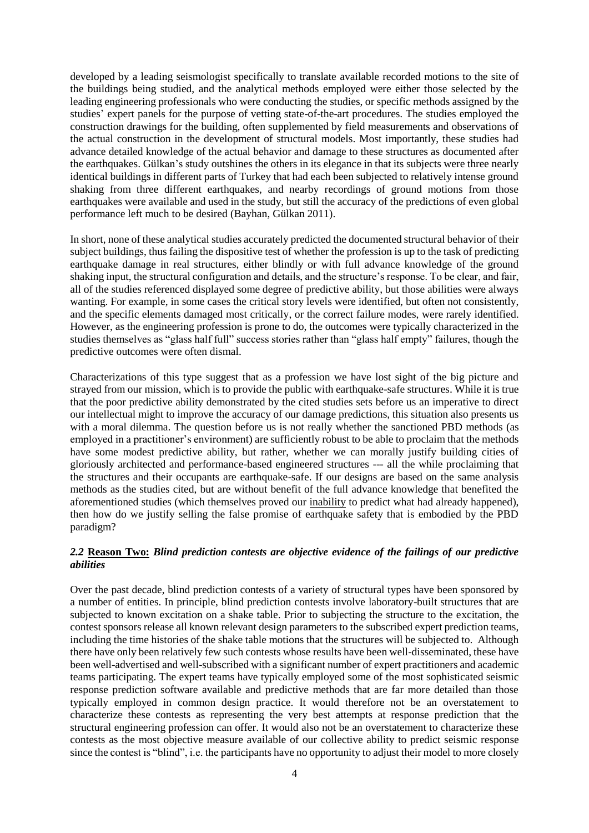developed by a leading seismologist specifically to translate available recorded motions to the site of the buildings being studied, and the analytical methods employed were either those selected by the leading engineering professionals who were conducting the studies, or specific methods assigned by the studies' expert panels for the purpose of vetting state-of-the-art procedures. The studies employed the construction drawings for the building, often supplemented by field measurements and observations of the actual construction in the development of structural models. Most importantly, these studies had advance detailed knowledge of the actual behavior and damage to these structures as documented after the earthquakes. Gülkan's study outshines the others in its elegance in that its subjects were three nearly identical buildings in different parts of Turkey that had each been subjected to relatively intense ground shaking from three different earthquakes, and nearby recordings of ground motions from those earthquakes were available and used in the study, but still the accuracy of the predictions of even global performance left much to be desired (Bayhan, Gülkan 2011).

In short, none of these analytical studies accurately predicted the documented structural behavior of their subject buildings, thus failing the dispositive test of whether the profession is up to the task of predicting earthquake damage in real structures, either blindly or with full advance knowledge of the ground shaking input, the structural configuration and details, and the structure's response. To be clear, and fair, all of the studies referenced displayed some degree of predictive ability, but those abilities were always wanting. For example, in some cases the critical story levels were identified, but often not consistently, and the specific elements damaged most critically, or the correct failure modes, were rarely identified. However, as the engineering profession is prone to do, the outcomes were typically characterized in the studies themselves as "glass half full" success stories rather than "glass half empty" failures, though the predictive outcomes were often dismal.

Characterizations of this type suggest that as a profession we have lost sight of the big picture and strayed from our mission, which is to provide the public with earthquake-safe structures. While it is true that the poor predictive ability demonstrated by the cited studies sets before us an imperative to direct our intellectual might to improve the accuracy of our damage predictions, this situation also presents us with a moral dilemma. The question before us is not really whether the sanctioned PBD methods (as employed in a practitioner's environment) are sufficiently robust to be able to proclaim that the methods have some modest predictive ability, but rather, whether we can morally justify building cities of gloriously architected and performance-based engineered structures --- all the while proclaiming that the structures and their occupants are earthquake-safe. If our designs are based on the same analysis methods as the studies cited, but are without benefit of the full advance knowledge that benefited the aforementioned studies (which themselves proved our inability to predict what had already happened), then how do we justify selling the false promise of earthquake safety that is embodied by the PBD paradigm?

# *2.2* **Reason Two:** *Blind prediction contests are objective evidence of the failings of our predictive abilities*

Over the past decade, blind prediction contests of a variety of structural types have been sponsored by a number of entities. In principle, blind prediction contests involve laboratory-built structures that are subjected to known excitation on a shake table. Prior to subjecting the structure to the excitation, the contest sponsors release all known relevant design parameters to the subscribed expert prediction teams, including the time histories of the shake table motions that the structures will be subjected to. Although there have only been relatively few such contests whose results have been well-disseminated, these have been well-advertised and well-subscribed with a significant number of expert practitioners and academic teams participating. The expert teams have typically employed some of the most sophisticated seismic response prediction software available and predictive methods that are far more detailed than those typically employed in common design practice. It would therefore not be an overstatement to characterize these contests as representing the very best attempts at response prediction that the structural engineering profession can offer. It would also not be an overstatement to characterize these contests as the most objective measure available of our collective ability to predict seismic response since the contest is "blind", i.e. the participants have no opportunity to adjust their model to more closely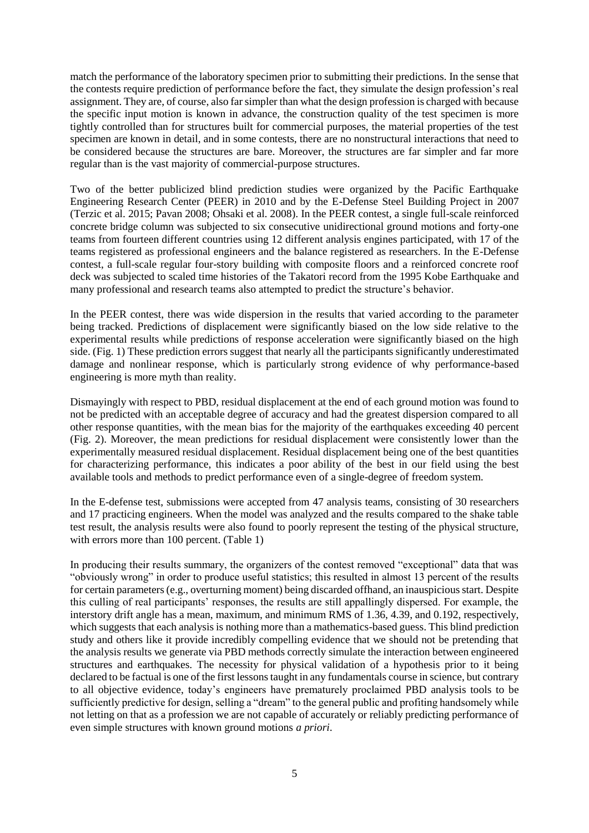match the performance of the laboratory specimen prior to submitting their predictions. In the sense that the contests require prediction of performance before the fact, they simulate the design profession's real assignment. They are, of course, also far simpler than what the design profession is charged with because the specific input motion is known in advance, the construction quality of the test specimen is more tightly controlled than for structures built for commercial purposes, the material properties of the test specimen are known in detail, and in some contests, there are no nonstructural interactions that need to be considered because the structures are bare. Moreover, the structures are far simpler and far more regular than is the vast majority of commercial-purpose structures.

Two of the better publicized blind prediction studies were organized by the Pacific Earthquake Engineering Research Center (PEER) in 2010 and by the E-Defense Steel Building Project in 2007 (Terzic et al. 2015; Pavan 2008; Ohsaki et al. 2008). In the PEER contest, a single full-scale reinforced concrete bridge column was subjected to six consecutive unidirectional ground motions and forty-one teams from fourteen different countries using 12 different analysis engines participated, with 17 of the teams registered as professional engineers and the balance registered as researchers. In the E-Defense contest, a full-scale regular four-story building with composite floors and a reinforced concrete roof deck was subjected to scaled time histories of the Takatori record from the 1995 Kobe Earthquake and many professional and research teams also attempted to predict the structure's behavior.

In the PEER contest, there was wide dispersion in the results that varied according to the parameter being tracked. Predictions of displacement were significantly biased on the low side relative to the experimental results while predictions of response acceleration were significantly biased on the high side. (Fig. 1) These prediction errors suggest that nearly all the participants significantly underestimated damage and nonlinear response, which is particularly strong evidence of why performance-based engineering is more myth than reality.

Dismayingly with respect to PBD, residual displacement at the end of each ground motion was found to not be predicted with an acceptable degree of accuracy and had the greatest dispersion compared to all other response quantities, with the mean bias for the majority of the earthquakes exceeding 40 percent (Fig. 2). Moreover, the mean predictions for residual displacement were consistently lower than the experimentally measured residual displacement. Residual displacement being one of the best quantities for characterizing performance, this indicates a poor ability of the best in our field using the best available tools and methods to predict performance even of a single-degree of freedom system.

In the E-defense test, submissions were accepted from 47 analysis teams, consisting of 30 researchers and 17 practicing engineers. When the model was analyzed and the results compared to the shake table test result, the analysis results were also found to poorly represent the testing of the physical structure, with errors more than 100 percent. (Table 1)

In producing their results summary, the organizers of the contest removed "exceptional" data that was "obviously wrong" in order to produce useful statistics; this resulted in almost 13 percent of the results for certain parameters (e.g., overturning moment) being discarded offhand, an inauspicious start. Despite this culling of real participants' responses, the results are still appallingly dispersed. For example, the interstory drift angle has a mean, maximum, and minimum RMS of 1.36, 4.39, and 0.192, respectively, which suggests that each analysis is nothing more than a mathematics-based guess. This blind prediction study and others like it provide incredibly compelling evidence that we should not be pretending that the analysis results we generate via PBD methods correctly simulate the interaction between engineered structures and earthquakes. The necessity for physical validation of a hypothesis prior to it being declared to be factual is one of the first lessons taught in any fundamentals course in science, but contrary to all objective evidence, today's engineers have prematurely proclaimed PBD analysis tools to be sufficiently predictive for design, selling a "dream" to the general public and profiting handsomely while not letting on that as a profession we are not capable of accurately or reliably predicting performance of even simple structures with known ground motions *a priori*.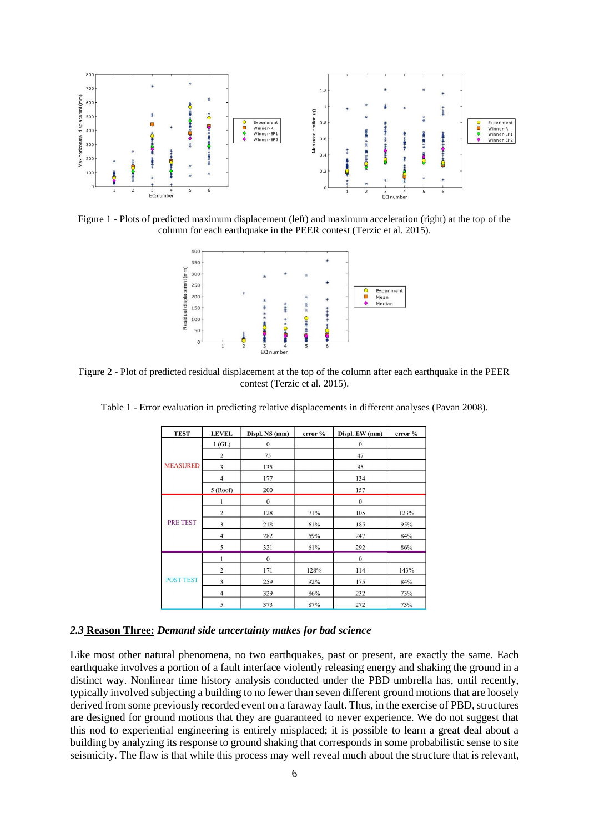

Figure 1 - Plots of predicted maximum displacement (left) and maximum acceleration (right) at the top of the column for each earthquake in the PEER contest (Terzic et al. 2015).



Figure 2 - Plot of predicted residual displacement at the top of the column after each earthquake in the PEER contest (Terzic et al. 2015).

Table 1 - Error evaluation in predicting relative displacements in different analyses (Pavan 2008).

| <b>TEST</b>      | <b>LEVEL</b>   | Displ. NS (mm)   | error % | Displ. EW (mm) | error % |
|------------------|----------------|------------------|---------|----------------|---------|
| <b>MEASURED</b>  | 1(GL)          | $\overline{0}$   |         | $\mathbf{0}$   |         |
|                  | $\overline{c}$ | 75               |         | 47             |         |
|                  | 3              | 135              |         | 95             |         |
|                  | $\overline{4}$ | 177              |         | 134            |         |
|                  | 5 (Root)       | 200              |         | 157            |         |
| <b>PRE TEST</b>  |                | $\theta$         |         | $\overline{0}$ |         |
|                  | $\overline{2}$ | 128              | 71%     | 105            | 123%    |
|                  | 3              | 218              | 61%     | 185            | 95%     |
|                  | $\overline{4}$ | 282              | 59%     | 247            | 84%     |
|                  | 5              | 321              | 61%     | 292            | 86%     |
| <b>POST TEST</b> | 1              | $\boldsymbol{0}$ |         | $\overline{0}$ |         |
|                  | $\overline{2}$ | 171              | 128%    | 114            | 143%    |
|                  | 3              | 259              | 92%     | 175            | 84%     |
|                  | $\overline{4}$ | 329              | 86%     | 232            | 73%     |
|                  | 5              | 373              | 87%     | 272            | 73%     |

#### *2.3* **Reason Three:** *Demand side uncertainty makes for bad science*

Like most other natural phenomena, no two earthquakes, past or present, are exactly the same. Each earthquake involves a portion of a fault interface violently releasing energy and shaking the ground in a distinct way. Nonlinear time history analysis conducted under the PBD umbrella has, until recently, typically involved subjecting a building to no fewer than seven different ground motions that are loosely derived from some previously recorded event on a faraway fault. Thus, in the exercise of PBD, structures are designed for ground motions that they are guaranteed to never experience. We do not suggest that this nod to experiential engineering is entirely misplaced; it is possible to learn a great deal about a building by analyzing its response to ground shaking that corresponds in some probabilistic sense to site seismicity. The flaw is that while this process may well reveal much about the structure that is relevant,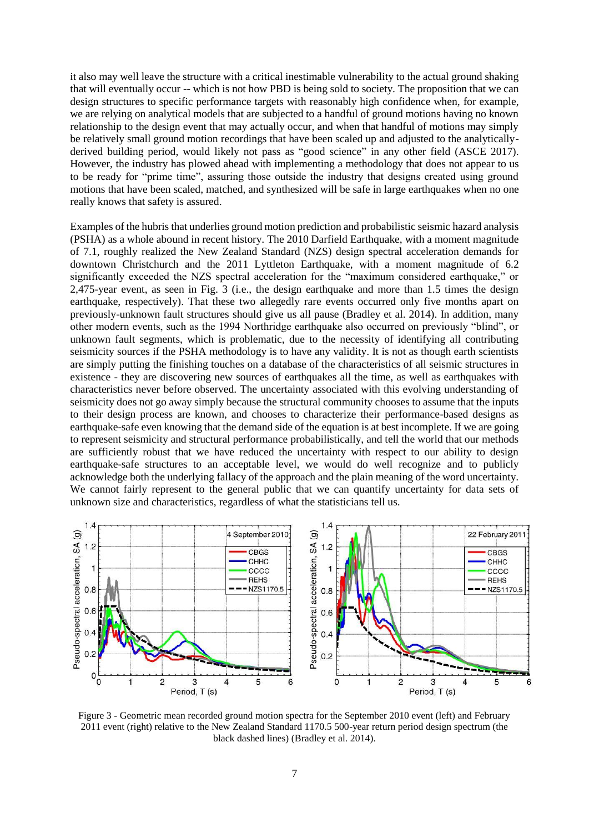it also may well leave the structure with a critical inestimable vulnerability to the actual ground shaking that will eventually occur -- which is not how PBD is being sold to society. The proposition that we can design structures to specific performance targets with reasonably high confidence when, for example, we are relying on analytical models that are subjected to a handful of ground motions having no known relationship to the design event that may actually occur, and when that handful of motions may simply be relatively small ground motion recordings that have been scaled up and adjusted to the analyticallyderived building period, would likely not pass as "good science" in any other field (ASCE 2017). However, the industry has plowed ahead with implementing a methodology that does not appear to us to be ready for "prime time", assuring those outside the industry that designs created using ground motions that have been scaled, matched, and synthesized will be safe in large earthquakes when no one really knows that safety is assured.

Examples of the hubris that underlies ground motion prediction and probabilistic seismic hazard analysis (PSHA) as a whole abound in recent history. The 2010 Darfield Earthquake, with a moment magnitude of 7.1, roughly realized the New Zealand Standard (NZS) design spectral acceleration demands for downtown Christchurch and the 2011 Lyttleton Earthquake, with a moment magnitude of 6.2 significantly exceeded the NZS spectral acceleration for the "maximum considered earthquake," or 2,475-year event, as seen in Fig. 3 (i.e., the design earthquake and more than 1.5 times the design earthquake, respectively). That these two allegedly rare events occurred only five months apart on previously-unknown fault structures should give us all pause (Bradley et al. 2014). In addition, many other modern events, such as the 1994 Northridge earthquake also occurred on previously "blind", or unknown fault segments, which is problematic, due to the necessity of identifying all contributing seismicity sources if the PSHA methodology is to have any validity. It is not as though earth scientists are simply putting the finishing touches on a database of the characteristics of all seismic structures in existence - they are discovering new sources of earthquakes all the time, as well as earthquakes with characteristics never before observed. The uncertainty associated with this evolving understanding of seismicity does not go away simply because the structural community chooses to assume that the inputs to their design process are known, and chooses to characterize their performance-based designs as earthquake-safe even knowing that the demand side of the equation is at best incomplete. If we are going to represent seismicity and structural performance probabilistically, and tell the world that our methods are sufficiently robust that we have reduced the uncertainty with respect to our ability to design earthquake-safe structures to an acceptable level, we would do well recognize and to publicly acknowledge both the underlying fallacy of the approach and the plain meaning of the word uncertainty. We cannot fairly represent to the general public that we can quantify uncertainty for data sets of unknown size and characteristics, regardless of what the statisticians tell us.



Figure 3 - Geometric mean recorded ground motion spectra for the September 2010 event (left) and February 2011 event (right) relative to the New Zealand Standard 1170.5 500-year return period design spectrum (the black dashed lines) (Bradley et al. 2014).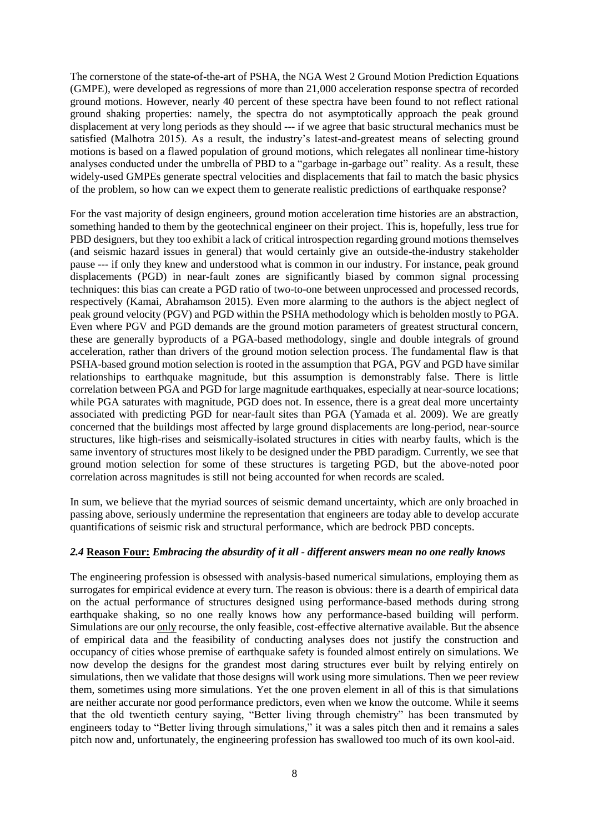The cornerstone of the state-of-the-art of PSHA, the NGA West 2 Ground Motion Prediction Equations (GMPE), were developed as regressions of more than 21,000 acceleration response spectra of recorded ground motions. However, nearly 40 percent of these spectra have been found to not reflect rational ground shaking properties: namely, the spectra do not asymptotically approach the peak ground displacement at very long periods as they should --- if we agree that basic structural mechanics must be satisfied (Malhotra 2015). As a result, the industry's latest-and-greatest means of selecting ground motions is based on a flawed population of ground motions, which relegates all nonlinear time-history analyses conducted under the umbrella of PBD to a "garbage in-garbage out" reality. As a result, these widely-used GMPEs generate spectral velocities and displacements that fail to match the basic physics of the problem, so how can we expect them to generate realistic predictions of earthquake response?

For the vast majority of design engineers, ground motion acceleration time histories are an abstraction, something handed to them by the geotechnical engineer on their project. This is, hopefully, less true for PBD designers, but they too exhibit a lack of critical introspection regarding ground motions themselves (and seismic hazard issues in general) that would certainly give an outside-the-industry stakeholder pause --- if only they knew and understood what is common in our industry. For instance, peak ground displacements (PGD) in near-fault zones are significantly biased by common signal processing techniques: this bias can create a PGD ratio of two-to-one between unprocessed and processed records, respectively (Kamai, Abrahamson 2015). Even more alarming to the authors is the abject neglect of peak ground velocity (PGV) and PGD within the PSHA methodology which is beholden mostly to PGA. Even where PGV and PGD demands are the ground motion parameters of greatest structural concern, these are generally byproducts of a PGA-based methodology, single and double integrals of ground acceleration, rather than drivers of the ground motion selection process. The fundamental flaw is that PSHA-based ground motion selection is rooted in the assumption that PGA, PGV and PGD have similar relationships to earthquake magnitude, but this assumption is demonstrably false. There is little correlation between PGA and PGD for large magnitude earthquakes, especially at near-source locations; while PGA saturates with magnitude, PGD does not. In essence, there is a great deal more uncertainty associated with predicting PGD for near-fault sites than PGA (Yamada et al. 2009). We are greatly concerned that the buildings most affected by large ground displacements are long-period, near-source structures, like high-rises and seismically-isolated structures in cities with nearby faults, which is the same inventory of structures most likely to be designed under the PBD paradigm. Currently, we see that ground motion selection for some of these structures is targeting PGD, but the above-noted poor correlation across magnitudes is still not being accounted for when records are scaled.

In sum, we believe that the myriad sources of seismic demand uncertainty, which are only broached in passing above, seriously undermine the representation that engineers are today able to develop accurate quantifications of seismic risk and structural performance, which are bedrock PBD concepts.

# *2.4* **Reason Four:** *Embracing the absurdity of it all - different answers mean no one really knows*

The engineering profession is obsessed with analysis-based numerical simulations, employing them as surrogates for empirical evidence at every turn. The reason is obvious: there is a dearth of empirical data on the actual performance of structures designed using performance-based methods during strong earthquake shaking, so no one really knows how any performance-based building will perform. Simulations are our only recourse, the only feasible, cost-effective alternative available. But the absence of empirical data and the feasibility of conducting analyses does not justify the construction and occupancy of cities whose premise of earthquake safety is founded almost entirely on simulations. We now develop the designs for the grandest most daring structures ever built by relying entirely on simulations, then we validate that those designs will work using more simulations. Then we peer review them, sometimes using more simulations. Yet the one proven element in all of this is that simulations are neither accurate nor good performance predictors, even when we know the outcome. While it seems that the old twentieth century saying, "Better living through chemistry" has been transmuted by engineers today to "Better living through simulations," it was a sales pitch then and it remains a sales pitch now and, unfortunately, the engineering profession has swallowed too much of its own kool-aid.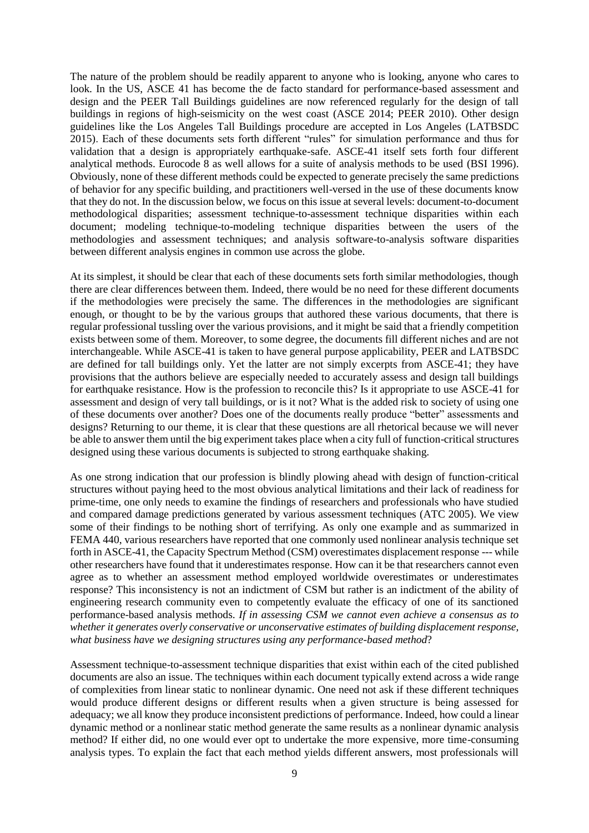The nature of the problem should be readily apparent to anyone who is looking, anyone who cares to look. In the US, ASCE 41 has become the de facto standard for performance-based assessment and design and the PEER Tall Buildings guidelines are now referenced regularly for the design of tall buildings in regions of high-seismicity on the west coast (ASCE 2014; PEER 2010). Other design guidelines like the Los Angeles Tall Buildings procedure are accepted in Los Angeles (LATBSDC 2015). Each of these documents sets forth different "rules" for simulation performance and thus for validation that a design is appropriately earthquake-safe. ASCE-41 itself sets forth four different analytical methods. Eurocode 8 as well allows for a suite of analysis methods to be used (BSI 1996). Obviously, none of these different methods could be expected to generate precisely the same predictions of behavior for any specific building, and practitioners well-versed in the use of these documents know that they do not. In the discussion below, we focus on this issue at several levels: document-to-document methodological disparities; assessment technique-to-assessment technique disparities within each document; modeling technique-to-modeling technique disparities between the users of the methodologies and assessment techniques; and analysis software-to-analysis software disparities between different analysis engines in common use across the globe.

At its simplest, it should be clear that each of these documents sets forth similar methodologies, though there are clear differences between them. Indeed, there would be no need for these different documents if the methodologies were precisely the same. The differences in the methodologies are significant enough, or thought to be by the various groups that authored these various documents, that there is regular professional tussling over the various provisions, and it might be said that a friendly competition exists between some of them. Moreover, to some degree, the documents fill different niches and are not interchangeable. While ASCE-41 is taken to have general purpose applicability, PEER and LATBSDC are defined for tall buildings only. Yet the latter are not simply excerpts from ASCE-41; they have provisions that the authors believe are especially needed to accurately assess and design tall buildings for earthquake resistance. How is the profession to reconcile this? Is it appropriate to use ASCE-41 for assessment and design of very tall buildings, or is it not? What is the added risk to society of using one of these documents over another? Does one of the documents really produce "better" assessments and designs? Returning to our theme, it is clear that these questions are all rhetorical because we will never be able to answer them until the big experiment takes place when a city full of function-critical structures designed using these various documents is subjected to strong earthquake shaking.

As one strong indication that our profession is blindly plowing ahead with design of function-critical structures without paying heed to the most obvious analytical limitations and their lack of readiness for prime-time, one only needs to examine the findings of researchers and professionals who have studied and compared damage predictions generated by various assessment techniques (ATC 2005). We view some of their findings to be nothing short of terrifying. As only one example and as summarized in FEMA 440, various researchers have reported that one commonly used nonlinear analysis technique set forth in ASCE-41, the Capacity Spectrum Method (CSM) overestimates displacement response --- while other researchers have found that it underestimates response. How can it be that researchers cannot even agree as to whether an assessment method employed worldwide overestimates or underestimates response? This inconsistency is not an indictment of CSM but rather is an indictment of the ability of engineering research community even to competently evaluate the efficacy of one of its sanctioned performance-based analysis methods. *If in assessing CSM we cannot even achieve a consensus as to whether it generates overly conservative or unconservative estimates of building displacement response, what business have we designing structures using any performance-based method*?

Assessment technique-to-assessment technique disparities that exist within each of the cited published documents are also an issue. The techniques within each document typically extend across a wide range of complexities from linear static to nonlinear dynamic. One need not ask if these different techniques would produce different designs or different results when a given structure is being assessed for adequacy; we all know they produce inconsistent predictions of performance. Indeed, how could a linear dynamic method or a nonlinear static method generate the same results as a nonlinear dynamic analysis method? If either did, no one would ever opt to undertake the more expensive, more time-consuming analysis types. To explain the fact that each method yields different answers, most professionals will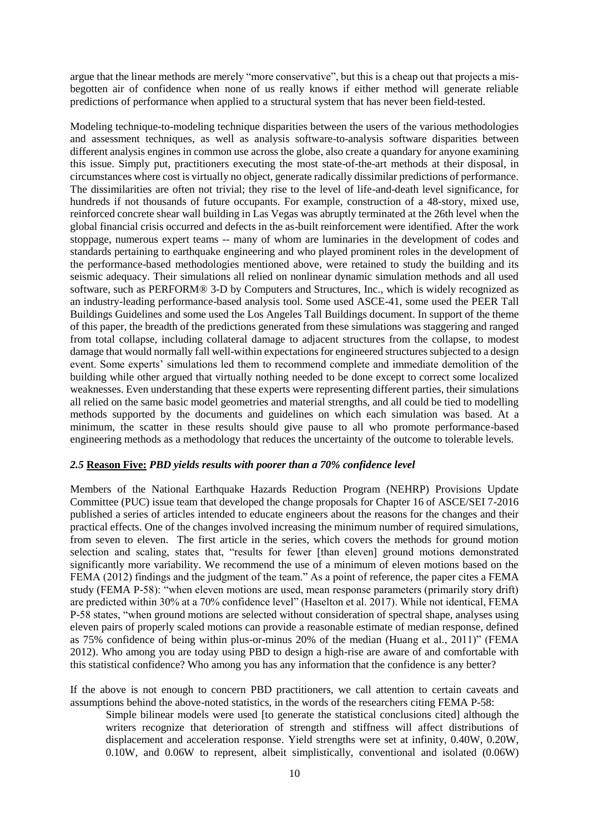argue that the linear methods are merely "more conservative", but this is a cheap out that projects a misbegotten air of confidence when none of us really knows if either method will generate reliable predictions of performance when applied to a structural system that has never been field-tested.

Modeling technique-to-modeling technique disparities between the users of the various methodologies and assessment techniques, as well as analysis software-to-analysis software disparities between different analysis engines in common use across the globe, also create a quandary for anyone examining this issue. Simply put, practitioners executing the most state-of-the-art methods at their disposal, in circumstances where cost is virtually no object, generate radically dissimilar predictions of performance. The dissimilarities are often not trivial; they rise to the level of life-and-death level significance, for hundreds if not thousands of future occupants. For example, construction of a 48-story, mixed use, reinforced concrete shear wall building in Las Vegas was abruptly terminated at the 26th level when the global financial crisis occurred and defects in the as-built reinforcement were identified. After the work stoppage, numerous expert teams -- many of whom are luminaries in the development of codes and standards pertaining to earthquake engineering and who played prominent roles in the development of the performance-based methodologies mentioned above, were retained to study the building and its seismic adequacy. Their simulations all relied on nonlinear dynamic simulation methods and all used software, such as PERFORM® 3-D by Computers and Structures, Inc., which is widely recognized as an industry-leading performance-based analysis tool. Some used ASCE-41, some used the PEER Tall Buildings Guidelines and some used the Los Angeles Tall Buildings document. In support of the theme of this paper, the breadth of the predictions generated from these simulations was staggering and ranged from total collapse, including collateral damage to adjacent structures from the collapse, to modest damage that would normally fall well-within expectations for engineered structures subjected to a design event. Some experts' simulations led them to recommend complete and immediate demolition of the building while other argued that virtually nothing needed to be done except to correct some localized weaknesses. Even understanding that these experts were representing different parties, their simulations all relied on the same basic model geometries and material strengths, and all could be tied to modelling methods supported by the documents and guidelines on which each simulation was based. At a minimum, the scatter in these results should give pause to all who promote performance-based engineering methods as a methodology that reduces the uncertainty of the outcome to tolerable levels.

# *2.5* **Reason Five:** *PBD yields results with poorer than a 70% confidence level*

Members of the National Earthquake Hazards Reduction Program (NEHRP) Provisions Update Committee (PUC) issue team that developed the change proposals for Chapter 16 of ASCE/SEI 7-2016 published a series of articles intended to educate engineers about the reasons for the changes and their practical effects. One of the changes involved increasing the minimum number of required simulations, from seven to eleven. The first article in the series, which covers the methods for ground motion selection and scaling, states that, "results for fewer [than eleven] ground motions demonstrated significantly more variability. We recommend the use of a minimum of eleven motions based on the FEMA (2012) findings and the judgment of the team." As a point of reference, the paper cites a FEMA study (FEMA P-58): "when eleven motions are used, mean response parameters (primarily story drift) are predicted within 30% at a 70% confidence level" (Haselton et al. 2017). While not identical, FEMA P-58 states, "when ground motions are selected without consideration of spectral shape, analyses using eleven pairs of properly scaled motions can provide a reasonable estimate of median response, defined as 75% confidence of being within plus-or-minus 20% of the median (Huang et al., 2011)" (FEMA 2012). Who among you are today using PBD to design a high-rise are aware of and comfortable with this statistical confidence? Who among you has any information that the confidence is any better?

If the above is not enough to concern PBD practitioners, we call attention to certain caveats and assumptions behind the above-noted statistics, in the words of the researchers citing FEMA P-58:

Simple bilinear models were used [to generate the statistical conclusions cited] although the writers recognize that deterioration of strength and stiffness will affect distributions of displacement and acceleration response. Yield strengths were set at infinity, 0.40W, 0.20W, 0.10W, and 0.06W to represent, albeit simplistically, conventional and isolated (0.06W)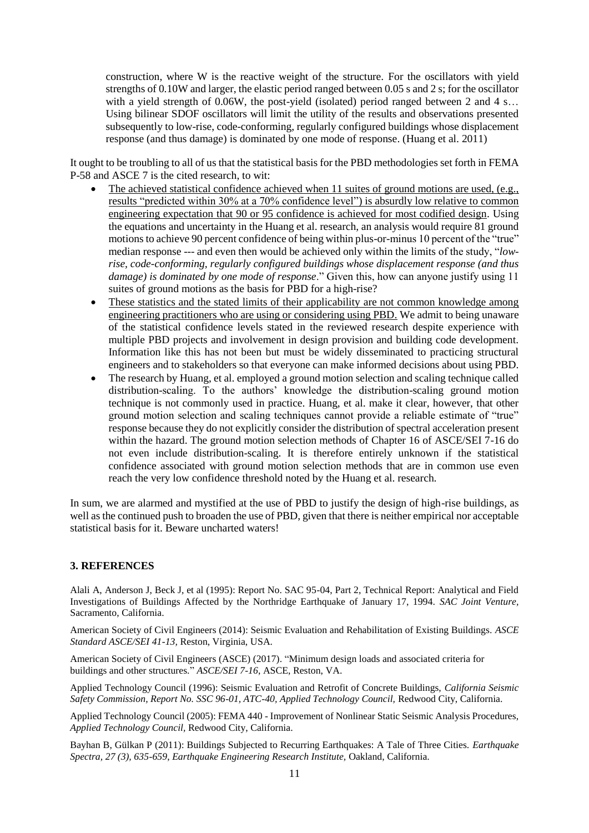construction, where W is the reactive weight of the structure. For the oscillators with yield strengths of 0.10W and larger, the elastic period ranged between 0.05 s and 2 s; for the oscillator with a yield strength of 0.06W, the post-yield (isolated) period ranged between 2 and 4 s... Using bilinear SDOF oscillators will limit the utility of the results and observations presented subsequently to low-rise, code-conforming, regularly configured buildings whose displacement response (and thus damage) is dominated by one mode of response. (Huang et al. 2011)

It ought to be troubling to all of us that the statistical basis for the PBD methodologies set forth in FEMA P-58 and ASCE 7 is the cited research, to wit:

- The achieved statistical confidence achieved when 11 suites of ground motions are used, (e.g., results "predicted within 30% at a 70% confidence level") is absurdly low relative to common engineering expectation that 90 or 95 confidence is achieved for most codified design. Using the equations and uncertainty in the Huang et al. research, an analysis would require 81 ground motions to achieve 90 percent confidence of being within plus-or-minus 10 percent of the "true" median response --- and even then would be achieved only within the limits of the study, "*lowrise, code-conforming, regularly configured buildings whose displacement response (and thus damage) is dominated by one mode of response*." Given this, how can anyone justify using 11 suites of ground motions as the basis for PBD for a high-rise?
- These statistics and the stated limits of their applicability are not common knowledge among engineering practitioners who are using or considering using PBD. We admit to being unaware of the statistical confidence levels stated in the reviewed research despite experience with multiple PBD projects and involvement in design provision and building code development. Information like this has not been but must be widely disseminated to practicing structural engineers and to stakeholders so that everyone can make informed decisions about using PBD.
- The research by Huang, et al. employed a ground motion selection and scaling technique called distribution-scaling. To the authors' knowledge the distribution-scaling ground motion technique is not commonly used in practice. Huang, et al. make it clear, however, that other ground motion selection and scaling techniques cannot provide a reliable estimate of "true" response because they do not explicitly consider the distribution of spectral acceleration present within the hazard. The ground motion selection methods of Chapter 16 of ASCE/SEI 7-16 do not even include distribution-scaling. It is therefore entirely unknown if the statistical confidence associated with ground motion selection methods that are in common use even reach the very low confidence threshold noted by the Huang et al. research.

In sum, we are alarmed and mystified at the use of PBD to justify the design of high-rise buildings, as well as the continued push to broaden the use of PBD, given that there is neither empirical nor acceptable statistical basis for it. Beware uncharted waters!

# **3. REFERENCES**

Alali A, Anderson J, Beck J, et al (1995): Report No. SAC 95-04, Part 2, Technical Report: Analytical and Field Investigations of Buildings Affected by the Northridge Earthquake of January 17, 1994. *SAC Joint Venture,*  Sacramento, California.

American Society of Civil Engineers (2014): Seismic Evaluation and Rehabilitation of Existing Buildings. *ASCE Standard ASCE/SEI 41-13,* Reston, Virginia, USA.

American Society of Civil Engineers (ASCE) (2017). "Minimum design loads and associated criteria for buildings and other structures." *ASCE/SEI 7-16*, ASCE, Reston, VA.

Applied Technology Council (1996): Seismic Evaluation and Retrofit of Concrete Buildings, *California Seismic Safety Commission, Report No. SSC 96-01, ATC-40, Applied Technology Council,* Redwood City, California.

Applied Technology Council (2005): FEMA 440 - Improvement of Nonlinear Static Seismic Analysis Procedures, *Applied Technology Council,* Redwood City, California.

Bayhan B, Gülkan P (2011): Buildings Subjected to Recurring Earthquakes: A Tale of Three Cities. *Earthquake Spectra, 27 (3), 635-659*, *Earthquake Engineering Research Institute,* Oakland, California.